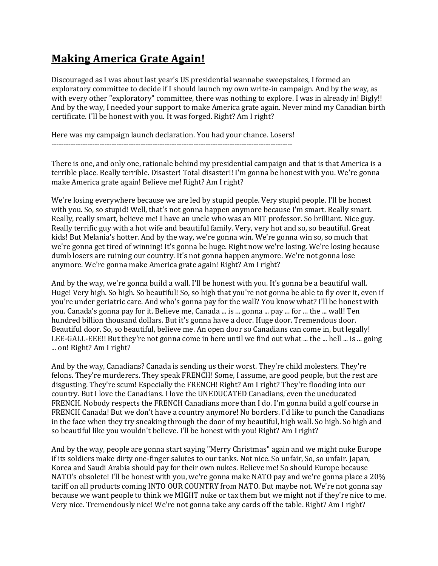## **Making America Grate Again!**

Discouraged as I was about last year's US presidential wannabe sweepstakes, I formed an exploratory committee to decide if I should launch my own write-in campaign. And by the way, as with every other "exploratory" committee, there was nothing to explore. I was in already in! Bigly!! And by the way, I needed your support to make America grate again. Never mind my Canadian birth certificate. I'll be honest with you. It was forged. Right? Am I right?

Here was my campaign launch declaration. You had your chance. Losers!

----------------------------------------------------------------------------------------------------

There is one, and only one, rationale behind my presidential campaign and that is that America is a terrible place. Really terrible. Disaster! Total disaster!! I'm gonna be honest with you. We're gonna make America grate again! Believe me! Right? Am I right?

We're losing everywhere because we are led by stupid people. Very stupid people. I'll be honest with you. So, so stupid! Well, that's not gonna happen anymore because I'm smart. Really smart. Really, really smart, believe me! I have an uncle who was an MIT professor. So brilliant. Nice guy. Really terrific guy with a hot wife and beautiful family. Very, very hot and so, so beautiful. Great kids! But Melania's hotter. And by the way, we're gonna win. We're gonna win so, so much that we're gonna get tired of winning! It's gonna be huge. Right now we're losing. We're losing because dumb losers are ruining our country. It's not gonna happen anymore. We're not gonna lose anymore. We're gonna make America grate again! Right? Am I right?

And by the way, we're gonna build a wall. I'll be honest with you. It's gonna be a beautiful wall. Huge! Very high. So high. So beautiful! So, so high that you're not gonna be able to fly over it, even if you're under geriatric care. And who's gonna pay for the wall? You know what? I'll be honest with you. Canada's gonna pay for it. Believe me, Canada ... is ... gonna ... pay ... for ... the ... wall! Ten hundred billion thousand dollars. But it's gonna have a door. Huge door. Tremendous door. Beautiful door. So, so beautiful, believe me. An open door so Canadians can come in, but legally! LEE-GALL-EEE!! But they're not gonna come in here until we find out what ... the ... hell ... is ... going ... on! Right? Am I right?

And by the way, Canadians? Canada is sending us their worst. They're child molesters. They're felons. They're murderers. They speak FRENCH! Some, I assume, are good people, but the rest are disgusting. They're scum! Especially the FRENCH! Right? Am I right? They're flooding into our country. But I love the Canadians. I love the UNEDUCATED Canadians, even the uneducated FRENCH. Nobody respects the FRENCH Canadians more than I do. I'm gonna build a golf course in FRENCH Canada! But we don't have a country anymore! No borders. I'd like to punch the Canadians in the face when they try sneaking through the door of my beautiful, high wall. So high. So high and so beautiful like you wouldn't believe. I'll be honest with you! Right? Am I right?

And by the way, people are gonna start saying "Merry Christmas" again and we might nuke Europe if its soldiers make dirty one-finger salutes to our tanks. Not nice. So unfair, So, so unfair. Japan, Korea and Saudi Arabia should pay for their own nukes. Believe me! So should Europe because NATO's obsolete! I'll be honest with you, we're gonna make NATO pay and we're gonna place a 20% tariff on all products coming INTO OUR COUNTRY from NATO. But maybe not. We're not gonna say because we want people to think we MIGHT nuke or tax them but we might not if they're nice to me. Very nice. Tremendously nice! We're not gonna take any cards off the table. Right? Am I right?